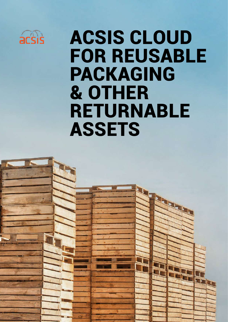

## ACSIS CLOUD FOR REUSABLE PACKAGING & OTHER RETURNABLE ASSETS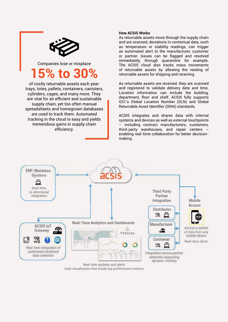

Companies lose or misplace

## **15% to 30%**

of costly returnable assets each year: trays, totes, pallets, containers, canisters, cylinders, cages, and many more. They are vital for an efficient and sustainable supply chain, yet too often manual spreadsheets and homegrown databases are used to track them. Automated tracking in the cloud is easy and yields tremendous gains in supply chain efficiency.

#### **How ACSIS Works**

As returnable assets move through the supply chain and are scanned, deviations in contextual data, such as temperature or stability readings, can trigger an automated alert to the manufacturer, customer or partner. Issues can be flagged and resolved immediately, through quarantine for example. The ACSIS cloud also tracks mass movements of returnable assets by allowing the nesting of returnable assets for shipping and receiving.

As returnable assets are received, they are scanned and registered to validate delivery date and time. Location information can include the building, department, floor and shelf. ACSIS fully supports GS1's Global Location Number (GLN) and Global Returnable Asset Identifier (GRAI) standards.

ACSIS integrates and shares data with internal systems and devices as well as external touchpoints – including contract manufacturers, customers, third-party warehouses, and repair centers – enabling real-time collaboration for better decisionmaking.



Data visualization that tracks key performance metrics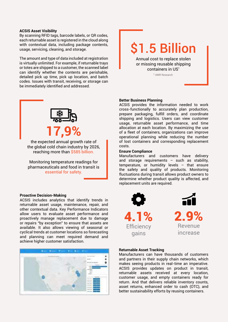#### **ACSIS Asset Visibility**

By scanning RFID tags, barcode labels, or QR codes, each returnable asset is registered in the cloud along with contextual data, including package contents, usage, servicing, cleaning, and storage.

The amount and type of data included at registration is virtually unlimited. For example, if returnable trays or totes are shipped to a customer, the scanned label can identify whether the contents are perishable, detailed pick up time, pick up location, and batch codes. Issues with transit, receiving, or storage can be immediately identified and addressed.



the expected annual growth rate of the global cold chain industry by 2026, reaching more than \$585 billion.

Monitoring temperature readings for pharmaceuticals and food in transit is essential for safety.

#### **Proactive Decision-Making**

ACSIS includes analytics that identify trends in returnable asset usage, maintenance, repair, and other contextual data. Key Performance Indicators allow users to evaluate asset performance and proactively manage replacement due to damage or repairs "by exception" to ensure that assets are available. It also allows viewing of seasonal or cyclical trends at customer locations so forecasting and planning can meet required demand and achieve higher customer satisfaction.



## \$1.5 Billion

Annual cost to replace stolen or missing reusable shipping containers in US<sup>1</sup>

1 AMR Research

#### **Better Business Planning**

ACSIS provides the information needed to work cross-functionally to accurately plan production, prepare packaging, fulfill orders, and coordinate shipping and logistics. Users can view customer usage, returnable asset performance, and time allocation at each location. By maximizing the use of a fleet of containers, organizations can improve operational planning while reducing the number of lost containers and corresponding replacement costs.

#### **Ensure Compliance**

Manufacturers and customers have delivery and storage requirements  $-$  such as stability, temperature, or humidity levels – that ensure the safety and quality of products. Monitoring fluctuations during transit allows product owners to determine whether product quality is affected, and replacement units are required.



#### **Returnable Asset Tracking**

Manufacturers can have thousands of customers and partners in their supply chain networks, which makes seeing products in real-time an imperative. ACSIS provides updates on product in transit, returnable assets received at every location, customer usage, and empty containers ready for return. And that delivers reliable inventory counts, asset returns, enhanced order to cash (OTC), and better sustainability efforts by reusing containers.